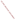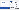The purpose of a public meeting is to share information and discuss issues, not to make decisions. Public meetings should promote two-way communications and provide a means for all interested parties to ask questions and raise issues in an informal setting. Those settings include conferences, informational sessions, seminars, workshops, or other activities that do not require formal, previously scheduled presentations or a formal record of the proceedings.

- Timing and content of the hearing notice
- Advance availability of pertinent documents
- Format and conduct of the hearing, including prior scheduling of presentations
- Record of the hearing (usually a verbatim transcript) on which the public may comment

Many laws and regulations require public hearings be held to provide a formal opportunity for the affected public to present comments and oral testimony on proposed EPA actions for the record. Non-judicial public hearings may be mandatory or discretionary and have specific requirements (depending on the project) for:

Think through what will work best for your situation before you design a public involvement process to use either some type of public meeting or a formal hearing. Here are some specific differences between the two types of activities.

The Web site for the "Internet Dialogue on Public Involvement in EPA Decisions" is http://www.network-democracy.org/epa/epa-pip

#### Public hearings are held:

- When requested by a member of the public during a public comment period
- During a public comment period following the issuance of a draft permit or major permit modification or at the selection of a proposed corrective measure
- When the level of community concern warrants a formal record of communication

Typically, the sponsor will prescribe a formal way to submit/present information and time limits on presenting comments at a public hearing.

Public meetings are less formal. Anyone can hold a public meeting, but typically the sponsor is a facility in the community, a member of the community or affected public, or EPA. Anyone can attend, there are usually no formal time limits on statements, and meetings can occur any time during the involvement process. Because they are open and flexible, meetings are preferable to hearings as forums for sharing and discussing issues. Comments made during a public meeting do not always become part of the official administrative record as would comments from a hearing.

# More Information about the Policy

Cornelius M. Kerwin Provost and Professor of Public Administration, American University EPA 233-F-03-012 **EPA 233-F-03-012** CONDITIONAL EXAMPLE PROPERTY AT A CALCULUS CONTINUES ADMINISTRATION EPA 233-F-03-012

Copies of the Policy and the Framework for implementing it are available at http://www.epa.gov/publicinvolvement/policy2003/ policy2003.pdf and http://www.epa.gov/publicinvolvement/policy2003/ framework.pdf

EPA's Response to Comments on the Draft 2000 Public Involvement Policy is available at http://www.epa.gov/public involvement/policy2003/response.pdf

How to Improve Public Meetings and Hearings

> Involvement brings the pieces together





### Goal:

- Enable the public and the Agency to share data, ideas, advice, and concerns
- Help EPA to gather input from a wide range of interested and affected parties
- Build a shared knowledge base about the community's various interests, ideas, and needs, helping the Agency to better understand and consider the issues related to a particular decision

The U.S. Environmental Protection Agency (EPA) issued its revised Public Involvement Policy in June 2003. The Policy's overall goal is for excellent public involvement to become an integral part of EPA's culture, thus supporting more effective Agency actions.

The Policy provides guidance to EPAmanagers and staff on how you can better involve the public in the Agency's decisions. This Policy outlines seven steps to effective involvement. This brochure offers suggestions to help you "get started" when conducting public meetings and hearings.

### Meetings and Hearings

Meetings are less formal than hearings, but both can be daunting to the public. Though often not the best involvement practices for the situation, public meetings and hearings are the most common ways for individuals and communities to directly address EPAofficials with their concerns. Permitting and rule-making processes rely heavily on these techniques.

"Public participation is vital to the quality and legitimacy of rule making. Information provided by the public will strengthen the content of rules and enhance the Agency's implementation and enforcement efforts. The Constitution guarantees that our law will reflect the will of the people. Participation in rule making extends this important principle to the development of regulations that carry the force of law."

"Involvement brings the pieces together" artwork is the creation of Erica Ann Turner, who contributed the work through an agreement between the Art Institute of Washington and EPA.

United States Environmental Protection Agency National Center for Environmental Innovation Public Involvement Staff 1200 Pennsylvania Avenue, NW 1807T Washington, DC 20460